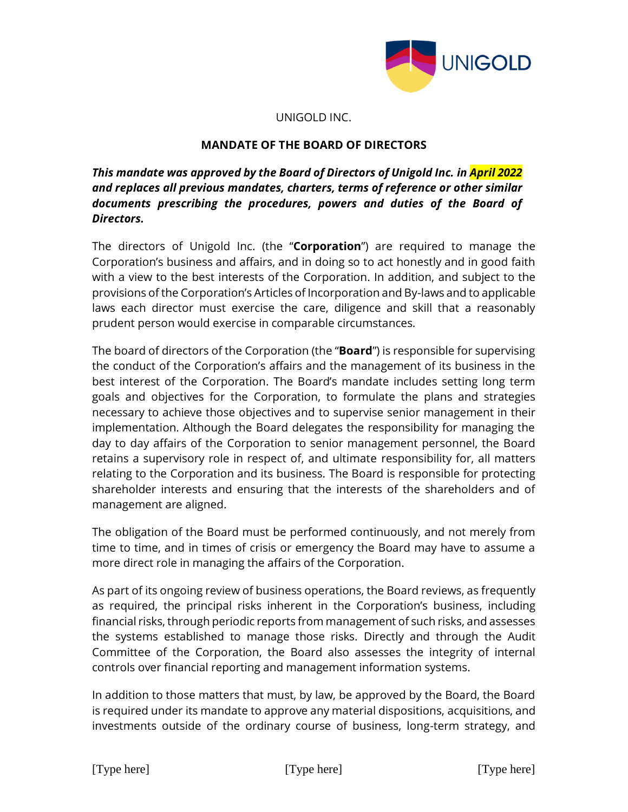

### UNIGOLD INC.

### **MANDATE OF THE BOARD OF DIRECTORS**

# *This mandate was approved by the Board of Directors of Unigold Inc. in April 2022 and replaces all previous mandates, charters, terms of reference or other similar documents prescribing the procedures, powers and duties of the Board of Directors.*

The directors of Unigold Inc. (the "**Corporation**") are required to manage the Corporation's business and affairs, and in doing so to act honestly and in good faith with a view to the best interests of the Corporation. In addition, and subject to the provisions of the Corporation's Articles of Incorporation and By-laws and to applicable laws each director must exercise the care, diligence and skill that a reasonably prudent person would exercise in comparable circumstances.

The board of directors of the Corporation (the "**Board**") is responsible for supervising the conduct of the Corporation's affairs and the management of its business in the best interest of the Corporation. The Board's mandate includes setting long term goals and objectives for the Corporation, to formulate the plans and strategies necessary to achieve those objectives and to supervise senior management in their implementation. Although the Board delegates the responsibility for managing the day to day affairs of the Corporation to senior management personnel, the Board retains a supervisory role in respect of, and ultimate responsibility for, all matters relating to the Corporation and its business. The Board is responsible for protecting shareholder interests and ensuring that the interests of the shareholders and of management are aligned.

The obligation of the Board must be performed continuously, and not merely from time to time, and in times of crisis or emergency the Board may have to assume a more direct role in managing the affairs of the Corporation.

As part of its ongoing review of business operations, the Board reviews, as frequently as required, the principal risks inherent in the Corporation's business, including financial risks, through periodic reports from management of such risks, and assesses the systems established to manage those risks. Directly and through the Audit Committee of the Corporation, the Board also assesses the integrity of internal controls over financial reporting and management information systems.

In addition to those matters that must, by law, be approved by the Board, the Board is required under its mandate to approve any material dispositions, acquisitions, and investments outside of the ordinary course of business, long-term strategy, and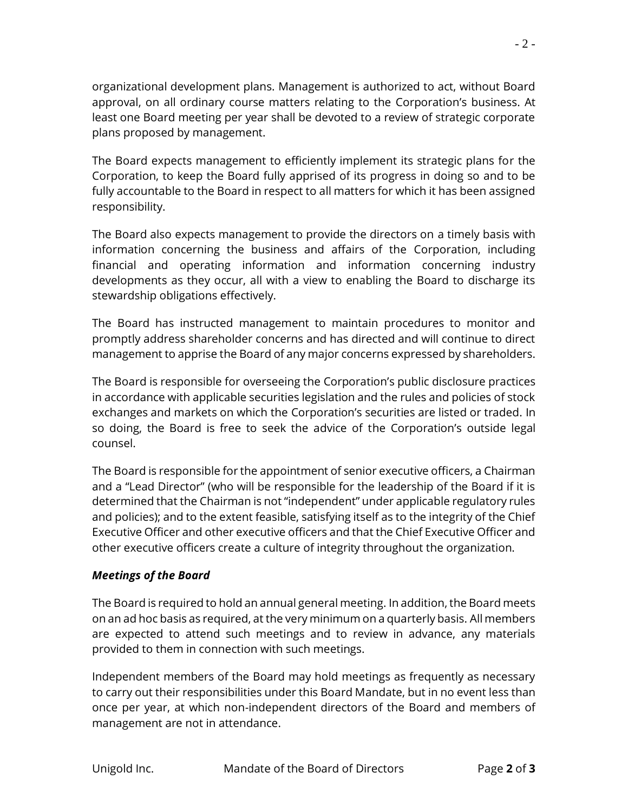organizational development plans. Management is authorized to act, without Board approval, on all ordinary course matters relating to the Corporation's business. At least one Board meeting per year shall be devoted to a review of strategic corporate plans proposed by management.

The Board expects management to efficiently implement its strategic plans for the Corporation, to keep the Board fully apprised of its progress in doing so and to be fully accountable to the Board in respect to all matters for which it has been assigned responsibility.

The Board also expects management to provide the directors on a timely basis with information concerning the business and affairs of the Corporation, including financial and operating information and information concerning industry developments as they occur, all with a view to enabling the Board to discharge its stewardship obligations effectively.

The Board has instructed management to maintain procedures to monitor and promptly address shareholder concerns and has directed and will continue to direct management to apprise the Board of any major concerns expressed by shareholders.

The Board is responsible for overseeing the Corporation's public disclosure practices in accordance with applicable securities legislation and the rules and policies of stock exchanges and markets on which the Corporation's securities are listed or traded. In so doing, the Board is free to seek the advice of the Corporation's outside legal counsel.

The Board is responsible for the appointment of senior executive officers, a Chairman and a "Lead Director" (who will be responsible for the leadership of the Board if it is determined that the Chairman is not "independent" under applicable regulatory rules and policies); and to the extent feasible, satisfying itself as to the integrity of the Chief Executive Officer and other executive officers and that the Chief Executive Officer and other executive officers create a culture of integrity throughout the organization.

# *Meetings of the Board*

The Board is required to hold an annual general meeting. In addition, the Board meets on an ad hoc basis as required, at the very minimum on a quarterly basis. All members are expected to attend such meetings and to review in advance, any materials provided to them in connection with such meetings.

Independent members of the Board may hold meetings as frequently as necessary to carry out their responsibilities under this Board Mandate, but in no event less than once per year, at which non-independent directors of the Board and members of management are not in attendance.